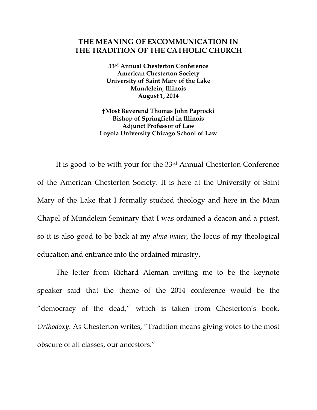## **THE MEANING OF EXCOMMUNICATION IN THE TRADITION OF THE CATHOLIC CHURCH**

**33rd Annual Chesterton Conference American Chesterton Society University of Saint Mary of the Lake Mundelein, Illinois August 1, 2014** 

**†Most Reverend Thomas John Paprocki Bishop of Springfield in Illinois Adjunct Professor of Law Loyola University Chicago School of Law** 

 It is good to be with your for the 33rd Annual Chesterton Conference of the American Chesterton Society. It is here at the University of Saint Mary of the Lake that I formally studied theology and here in the Main Chapel of Mundelein Seminary that I was ordained a deacon and a priest, so it is also good to be back at my *alma mater*, the locus of my theological education and entrance into the ordained ministry.

 The letter from Richard Aleman inviting me to be the keynote speaker said that the theme of the 2014 conference would be the "democracy of the dead," which is taken from Chesterton's book, *Orthodoxy*. As Chesterton writes, "Tradition means giving votes to the most obscure of all classes, our ancestors."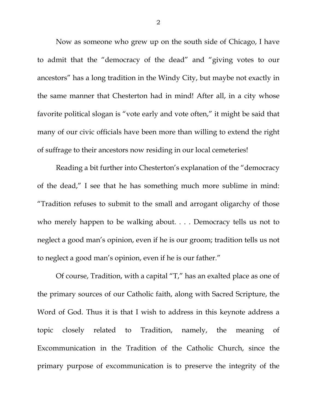Now as someone who grew up on the south side of Chicago, I have to admit that the "democracy of the dead" and "giving votes to our ancestors" has a long tradition in the Windy City, but maybe not exactly in the same manner that Chesterton had in mind! After all, in a city whose favorite political slogan is "vote early and vote often," it might be said that many of our civic officials have been more than willing to extend the right of suffrage to their ancestors now residing in our local cemeteries!

Reading a bit further into Chesterton's explanation of the "democracy of the dead," I see that he has something much more sublime in mind: "Tradition refuses to submit to the small and arrogant oligarchy of those who merely happen to be walking about. . . . Democracy tells us not to neglect a good man's opinion, even if he is our groom; tradition tells us not to neglect a good man's opinion, even if he is our father."

Of course, Tradition, with a capital "T," has an exalted place as one of the primary sources of our Catholic faith, along with Sacred Scripture, the Word of God. Thus it is that I wish to address in this keynote address a topic closely related to Tradition, namely, the meaning of Excommunication in the Tradition of the Catholic Church, since the primary purpose of excommunication is to preserve the integrity of the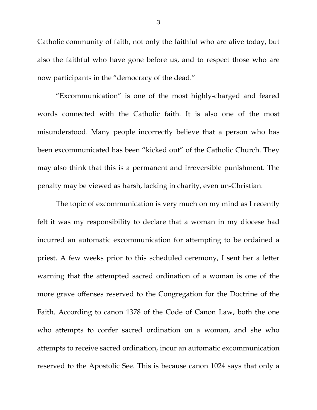Catholic community of faith, not only the faithful who are alive today, but also the faithful who have gone before us, and to respect those who are now participants in the "democracy of the dead."

"Excommunication" is one of the most highly-charged and feared words connected with the Catholic faith. It is also one of the most misunderstood. Many people incorrectly believe that a person who has been excommunicated has been "kicked out" of the Catholic Church. They may also think that this is a permanent and irreversible punishment. The penalty may be viewed as harsh, lacking in charity, even un-Christian.

The topic of excommunication is very much on my mind as I recently felt it was my responsibility to declare that a woman in my diocese had incurred an automatic excommunication for attempting to be ordained a priest. A few weeks prior to this scheduled ceremony, I sent her a letter warning that the attempted sacred ordination of a woman is one of the more grave offenses reserved to the Congregation for the Doctrine of the Faith. According to canon 1378 of the Code of Canon Law, both the one who attempts to confer sacred ordination on a woman, and she who attempts to receive sacred ordination, incur an automatic excommunication reserved to the Apostolic See. This is because canon 1024 says that only a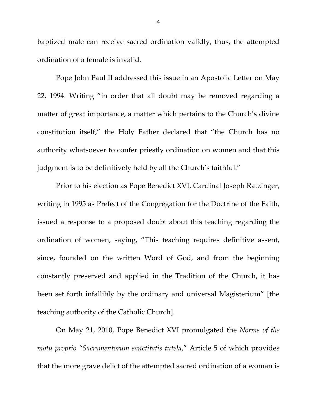baptized male can receive sacred ordination validly, thus, the attempted ordination of a female is invalid.

Pope John Paul II addressed this issue in an Apostolic Letter on May 22, 1994. Writing "in order that all doubt may be removed regarding a matter of great importance, a matter which pertains to the Church's divine constitution itself," the Holy Father declared that "the Church has no authority whatsoever to confer priestly ordination on women and that this judgment is to be definitively held by all the Church's faithful."

Prior to his election as Pope Benedict XVI, Cardinal Joseph Ratzinger, writing in 1995 as Prefect of the Congregation for the Doctrine of the Faith, issued a response to a proposed doubt about this teaching regarding the ordination of women, saying, "This teaching requires definitive assent, since, founded on the written Word of God, and from the beginning constantly preserved and applied in the Tradition of the Church, it has been set forth infallibly by the ordinary and universal Magisterium" [the teaching authority of the Catholic Church].

On May 21, 2010, Pope Benedict XVI promulgated the *Norms of the motu proprio "Sacramentorum sanctitatis tutela*," Article 5 of which provides that the more grave delict of the attempted sacred ordination of a woman is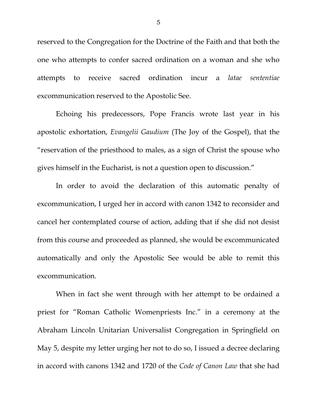reserved to the Congregation for the Doctrine of the Faith and that both the one who attempts to confer sacred ordination on a woman and she who attempts to receive sacred ordination incur a *latae sententiae* excommunication reserved to the Apostolic See.

Echoing his predecessors, Pope Francis wrote last year in his apostolic exhortation, *Evangelii Gaudium* (The Joy of the Gospel), that the "reservation of the priesthood to males, as a sign of Christ the spouse who gives himself in the Eucharist, is not a question open to discussion."

In order to avoid the declaration of this automatic penalty of excommunication, I urged her in accord with canon 1342 to reconsider and cancel her contemplated course of action, adding that if she did not desist from this course and proceeded as planned, she would be excommunicated automatically and only the Apostolic See would be able to remit this excommunication.

When in fact she went through with her attempt to be ordained a priest for "Roman Catholic Womenpriests Inc." in a ceremony at the Abraham Lincoln Unitarian Universalist Congregation in Springfield on May 5, despite my letter urging her not to do so, I issued a decree declaring in accord with canons 1342 and 1720 of the *Code of Canon Law* that she had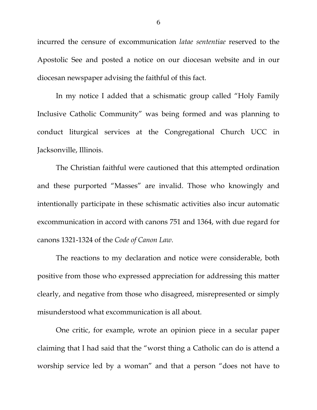incurred the censure of excommunication *latae sententiae* reserved to the Apostolic See and posted a notice on our diocesan website and in our diocesan newspaper advising the faithful of this fact.

In my notice I added that a schismatic group called "Holy Family Inclusive Catholic Community" was being formed and was planning to conduct liturgical services at the Congregational Church UCC in Jacksonville, Illinois.

 The Christian faithful were cautioned that this attempted ordination and these purported "Masses" are invalid. Those who knowingly and intentionally participate in these schismatic activities also incur automatic excommunication in accord with canons 751 and 1364, with due regard for canons 1321-1324 of the *Code of Canon Law.* 

The reactions to my declaration and notice were considerable, both positive from those who expressed appreciation for addressing this matter clearly, and negative from those who disagreed, misrepresented or simply misunderstood what excommunication is all about.

One critic, for example, wrote an opinion piece in a secular paper claiming that I had said that the "worst thing a Catholic can do is attend a worship service led by a woman" and that a person "does not have to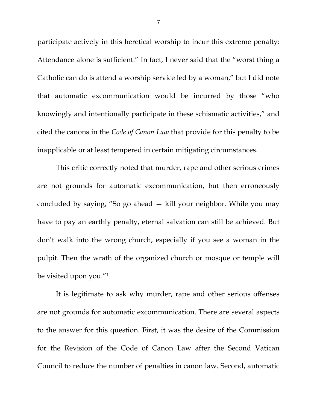participate actively in this heretical worship to incur this extreme penalty: Attendance alone is sufficient." In fact, I never said that the "worst thing a Catholic can do is attend a worship service led by a woman," but I did note that automatic excommunication would be incurred by those "who knowingly and intentionally participate in these schismatic activities," and cited the canons in the *Code of Canon Law* that provide for this penalty to be inapplicable or at least tempered in certain mitigating circumstances.

This critic correctly noted that murder, rape and other serious crimes are not grounds for automatic excommunication, but then erroneously concluded by saying, "So go ahead — kill your neighbor. While you may have to pay an earthly penalty, eternal salvation can still be achieved. But don't walk into the wrong church, especially if you see a woman in the pulpit. Then the wrath of the organized church or mosque or temple will be visited upon you."1

 It is legitimate to ask why murder, rape and other serious offenses are not grounds for automatic excommunication. There are several aspects to the answer for this question. First, it was the desire of the Commission for the Revision of the Code of Canon Law after the Second Vatican Council to reduce the number of penalties in canon law. Second, automatic

7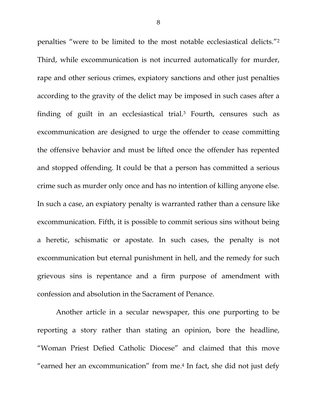penalties "were to be limited to the most notable ecclesiastical delicts."2 Third, while excommunication is not incurred automatically for murder, rape and other serious crimes, expiatory sanctions and other just penalties according to the gravity of the delict may be imposed in such cases after a finding of guilt in an ecclesiastical trial.3 Fourth, censures such as excommunication are designed to urge the offender to cease committing the offensive behavior and must be lifted once the offender has repented and stopped offending. It could be that a person has committed a serious crime such as murder only once and has no intention of killing anyone else. In such a case, an expiatory penalty is warranted rather than a censure like excommunication. Fifth, it is possible to commit serious sins without being a heretic, schismatic or apostate. In such cases, the penalty is not excommunication but eternal punishment in hell, and the remedy for such grievous sins is repentance and a firm purpose of amendment with confession and absolution in the Sacrament of Penance.

Another article in a secular newspaper, this one purporting to be reporting a story rather than stating an opinion, bore the headline, "Woman Priest Defied Catholic Diocese" and claimed that this move "earned her an excommunication" from me.4 In fact, she did not just defy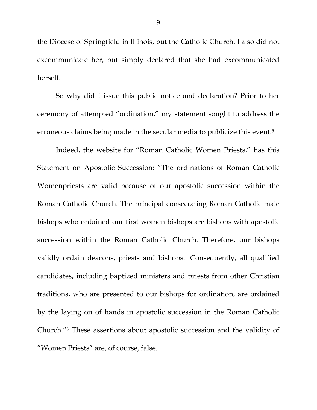the Diocese of Springfield in Illinois, but the Catholic Church. I also did not excommunicate her, but simply declared that she had excommunicated herself.

So why did I issue this public notice and declaration? Prior to her ceremony of attempted "ordination," my statement sought to address the erroneous claims being made in the secular media to publicize this event.5

Indeed, the website for "Roman Catholic Women Priests," has this Statement on Apostolic Succession: "The ordinations of Roman Catholic Womenpriests are valid because of our apostolic succession within the Roman Catholic Church. The principal consecrating Roman Catholic male bishops who ordained our first women bishops are bishops with apostolic succession within the Roman Catholic Church. Therefore, our bishops validly ordain deacons, priests and bishops. Consequently, all qualified candidates, including baptized ministers and priests from other Christian traditions, who are presented to our bishops for ordination, are ordained by the laying on of hands in apostolic succession in the Roman Catholic Church."6 These assertions about apostolic succession and the validity of "Women Priests" are, of course, false.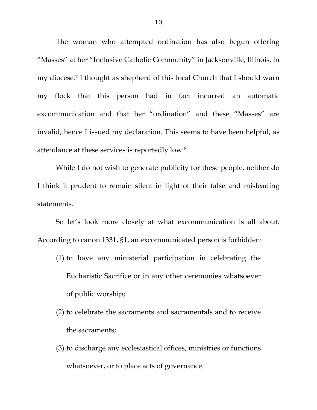The woman who attempted ordination has also begun offering "Masses" at her "Inclusive Catholic Community" in Jacksonville, Illinois, in my diocese.7 I thought as shepherd of this local Church that I should warn my flock that this person had in fact incurred an automatic excommunication and that her "ordination" and these "Masses" are invalid, hence I issued my declaration. This seems to have been helpful, as attendance at these services is reportedly low.8

While I do not wish to generate publicity for these people, neither do I think it prudent to remain silent in light of their false and misleading statements.

So let's look more closely at what excommunication is all about. According to canon 1331, §1, an excommunicated person is forbidden:

- (1) to have any ministerial participation in celebrating the Eucharistic Sacrifice or in any other ceremonies whatsoever of public worship;
- (2) to celebrate the sacraments and sacramentals and to receive the sacraments;
- (3) to discharge any ecclesiastical offices, ministries or functions whatsoever, or to place acts of governance.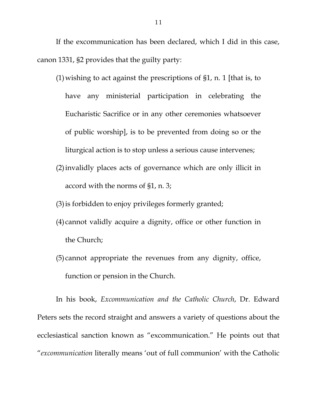If the excommunication has been declared, which I did in this case, canon 1331, §2 provides that the guilty party:

- (1)wishing to act against the prescriptions of §1, n. 1 [that is, to have any ministerial participation in celebrating the Eucharistic Sacrifice or in any other ceremonies whatsoever of public worship], is to be prevented from doing so or the liturgical action is to stop unless a serious cause intervenes;
- (2)invalidly places acts of governance which are only illicit in accord with the norms of §1, n. 3;
- (3)is forbidden to enjoy privileges formerly granted;
- (4) cannot validly acquire a dignity, office or other function in the Church;
- (5) cannot appropriate the revenues from any dignity, office, function or pension in the Church.

In his book, *Excommunication and the Catholic Church*, Dr. Edward Peters sets the record straight and answers a variety of questions about the ecclesiastical sanction known as "excommunication." He points out that "*excommunication* literally means 'out of full communion' with the Catholic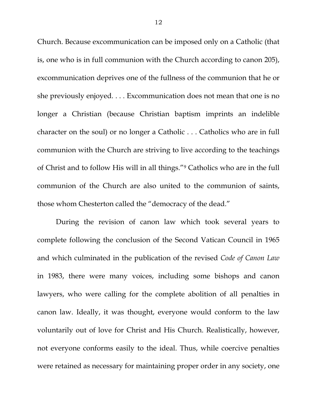Church. Because excommunication can be imposed only on a Catholic (that is, one who is in full communion with the Church according to canon 205), excommunication deprives one of the fullness of the communion that he or she previously enjoyed. . . . Excommunication does not mean that one is no longer a Christian (because Christian baptism imprints an indelible character on the soul) or no longer a Catholic . . . Catholics who are in full communion with the Church are striving to live according to the teachings of Christ and to follow His will in all things."9 Catholics who are in the full communion of the Church are also united to the communion of saints, those whom Chesterton called the "democracy of the dead."

During the revision of canon law which took several years to complete following the conclusion of the Second Vatican Council in 1965 and which culminated in the publication of the revised *Code of Canon Law* in 1983, there were many voices, including some bishops and canon lawyers, who were calling for the complete abolition of all penalties in canon law. Ideally, it was thought, everyone would conform to the law voluntarily out of love for Christ and His Church. Realistically, however, not everyone conforms easily to the ideal. Thus, while coercive penalties were retained as necessary for maintaining proper order in any society, one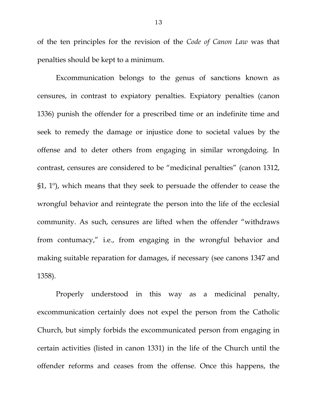of the ten principles for the revision of the *Code of Canon Law* was that penalties should be kept to a minimum.

Excommunication belongs to the genus of sanctions known as censures, in contrast to expiatory penalties. Expiatory penalties (canon 1336) punish the offender for a prescribed time or an indefinite time and seek to remedy the damage or injustice done to societal values by the offense and to deter others from engaging in similar wrongdoing. In contrast, censures are considered to be "medicinal penalties" (canon 1312, §1, 1º), which means that they seek to persuade the offender to cease the wrongful behavior and reintegrate the person into the life of the ecclesial community. As such, censures are lifted when the offender "withdraws from contumacy," i.e., from engaging in the wrongful behavior and making suitable reparation for damages, if necessary (see canons 1347 and 1358).

Properly understood in this way as a medicinal penalty, excommunication certainly does not expel the person from the Catholic Church, but simply forbids the excommunicated person from engaging in certain activities (listed in canon 1331) in the life of the Church until the offender reforms and ceases from the offense. Once this happens, the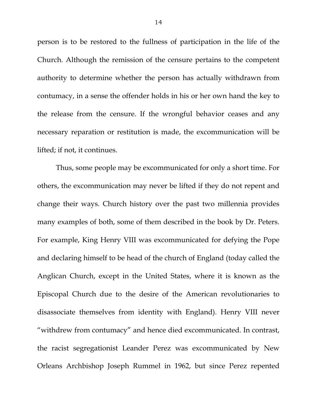person is to be restored to the fullness of participation in the life of the Church. Although the remission of the censure pertains to the competent authority to determine whether the person has actually withdrawn from contumacy, in a sense the offender holds in his or her own hand the key to the release from the censure. If the wrongful behavior ceases and any necessary reparation or restitution is made, the excommunication will be lifted; if not, it continues.

Thus, some people may be excommunicated for only a short time. For others, the excommunication may never be lifted if they do not repent and change their ways. Church history over the past two millennia provides many examples of both, some of them described in the book by Dr. Peters. For example, King Henry VIII was excommunicated for defying the Pope and declaring himself to be head of the church of England (today called the Anglican Church, except in the United States, where it is known as the Episcopal Church due to the desire of the American revolutionaries to disassociate themselves from identity with England). Henry VIII never "withdrew from contumacy" and hence died excommunicated. In contrast, the racist segregationist Leander Perez was excommunicated by New Orleans Archbishop Joseph Rummel in 1962, but since Perez repented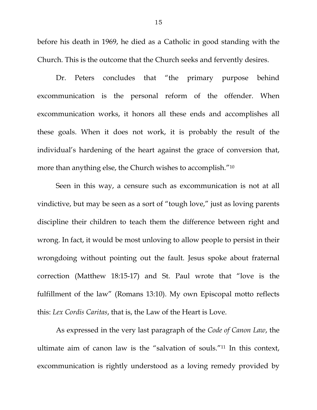before his death in 1969, he died as a Catholic in good standing with the Church. This is the outcome that the Church seeks and fervently desires.

Dr. Peters concludes that "the primary purpose behind excommunication is the personal reform of the offender. When excommunication works, it honors all these ends and accomplishes all these goals. When it does not work, it is probably the result of the individual's hardening of the heart against the grace of conversion that, more than anything else, the Church wishes to accomplish."10

Seen in this way, a censure such as excommunication is not at all vindictive, but may be seen as a sort of "tough love," just as loving parents discipline their children to teach them the difference between right and wrong. In fact, it would be most unloving to allow people to persist in their wrongdoing without pointing out the fault. Jesus spoke about fraternal correction (Matthew 18:15-17) and St. Paul wrote that "love is the fulfillment of the law" (Romans 13:10). My own Episcopal motto reflects this: *Lex Cordis Caritas*, that is, the Law of the Heart is Love.

As expressed in the very last paragraph of the *Code of Canon Law*, the ultimate aim of canon law is the "salvation of souls."11 In this context, excommunication is rightly understood as a loving remedy provided by